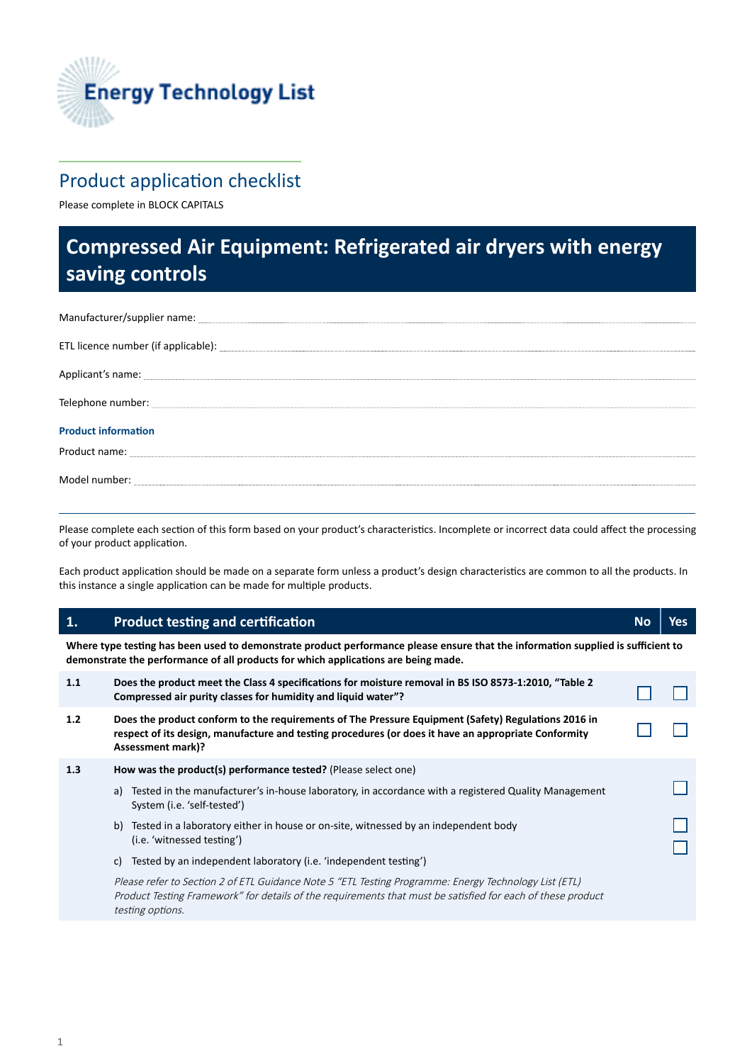

## Product application checklist

Please complete in BLOCK CAPITALS

# **Compressed Air Equipment: Refrigerated air dryers with energy saving controls**

| ETL licence number (if applicable): example and a set of the set of the set of the set of the set of the set of the set of the set of the set of the set of the set of the set of the set of the set of the set of the set of |
|-------------------------------------------------------------------------------------------------------------------------------------------------------------------------------------------------------------------------------|
| Applicant's name: experience of the state of the state of the state of the state of the state of the state of                                                                                                                 |
|                                                                                                                                                                                                                               |
| <b>Product information</b>                                                                                                                                                                                                    |
|                                                                                                                                                                                                                               |
|                                                                                                                                                                                                                               |

Please complete each section of this form based on your product's characteristics. Incomplete or incorrect data could affect the processing of your product application.

Each product application should be made on a separate form unless a product's design characteristics are common to all the products. In this instance a single application can be made for multiple products.

## **1. Product testing and certification** *No* **<b>No** *No No No No No No*

**Where type testing has been used to demonstrate product performance please ensure that the information supplied is sufficient to demonstrate the performance of all products for which applications are being made.** 

| 1.1 | Does the product meet the Class 4 specifications for moisture removal in BS ISO 8573-1:2010, "Table 2<br>Compressed air purity classes for humidity and liquid water"?                                                                   |  |  |
|-----|------------------------------------------------------------------------------------------------------------------------------------------------------------------------------------------------------------------------------------------|--|--|
| 1.2 | Does the product conform to the requirements of The Pressure Equipment (Safety) Regulations 2016 in<br>respect of its design, manufacture and testing procedures (or does it have an appropriate Conformity<br><b>Assessment mark)?</b>  |  |  |
| 1.3 | How was the product(s) performance tested? (Please select one)                                                                                                                                                                           |  |  |
|     | Tested in the manufacturer's in-house laboratory, in accordance with a registered Quality Management<br>a)<br>System (i.e. 'self-tested')                                                                                                |  |  |
|     | b) Tested in a laboratory either in house or on-site, witnessed by an independent body<br>(i.e. 'witnessed testing')                                                                                                                     |  |  |
|     | Tested by an independent laboratory (i.e. 'independent testing')<br>C)                                                                                                                                                                   |  |  |
|     | Please refer to Section 2 of ETL Guidance Note 5 "ETL Testing Programme: Energy Technology List (ETL)<br>Product Testing Framework" for details of the requirements that must be satisfied for each of these product<br>testing options. |  |  |
|     |                                                                                                                                                                                                                                          |  |  |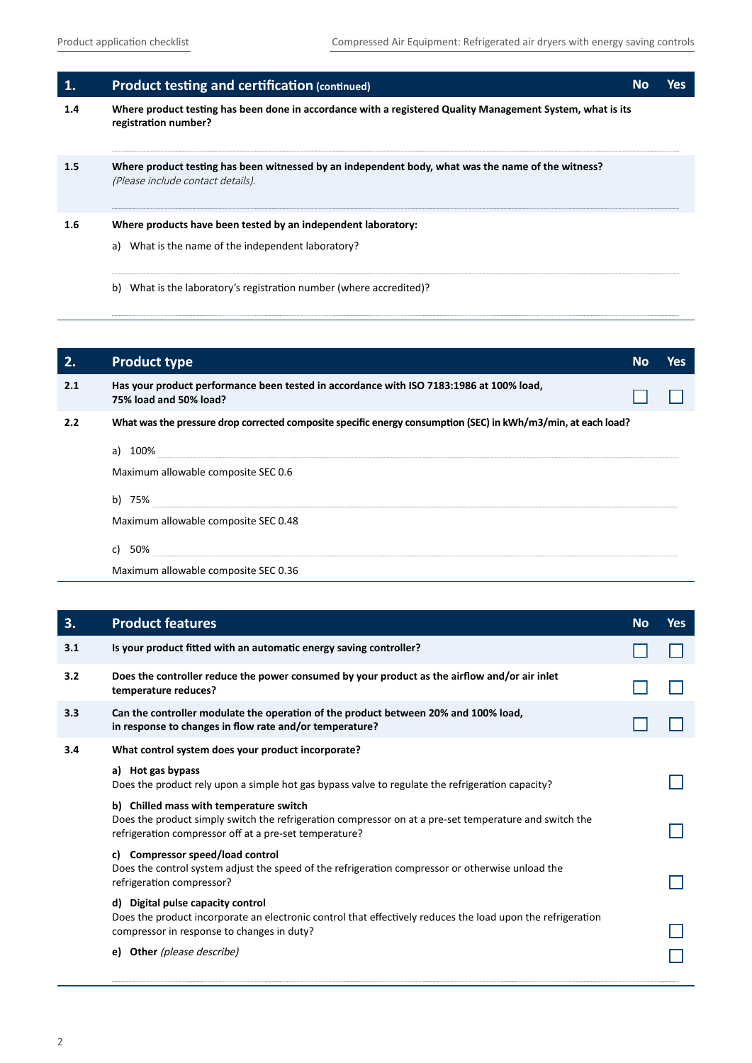| 1.  | <b>Product testing and certification (continued)</b>                                                                                    | No | Yes |
|-----|-----------------------------------------------------------------------------------------------------------------------------------------|----|-----|
| 1.4 | Where product testing has been done in accordance with a registered Quality Management System, what is its<br>registration number?      |    |     |
| 1.5 | Where product testing has been witnessed by an independent body, what was the name of the witness?<br>(Please include contact details). |    |     |
| 1.6 | Where products have been tested by an independent laboratory:<br>What is the name of the independent laboratory?<br>a)                  |    |     |

b) What is the laboratory's registration number (where accredited)?

| 2.  | <b>Product type</b>                                                                                               | No | <b>Yes</b> |
|-----|-------------------------------------------------------------------------------------------------------------------|----|------------|
| 2.1 | Has your product performance been tested in accordance with ISO 7183:1986 at 100% load,<br>75% load and 50% load? |    |            |
| 2.2 | What was the pressure drop corrected composite specific energy consumption (SEC) in kWh/m3/min, at each load?     |    |            |
|     | a) 100%<br>Maximum allowable composite SEC 0.6                                                                    |    |            |
|     | b) 75%                                                                                                            |    |            |
|     | Maximum allowable composite SEC 0.48                                                                              |    |            |
|     | 50%<br>c)                                                                                                         |    |            |
|     | Maximum allowable composite SEC 0.36                                                                              |    |            |

| 3.  | <b>Product features</b>                                                                                                                                                                                     | <b>No</b> | <b>Yes</b> |
|-----|-------------------------------------------------------------------------------------------------------------------------------------------------------------------------------------------------------------|-----------|------------|
| 3.1 | Is your product fitted with an automatic energy saving controller?                                                                                                                                          |           |            |
| 3.2 | Does the controller reduce the power consumed by your product as the airflow and/or air inlet<br>temperature reduces?                                                                                       |           |            |
| 3.3 | Can the controller modulate the operation of the product between 20% and 100% load,<br>in response to changes in flow rate and/or temperature?                                                              |           |            |
| 3.4 | What control system does your product incorporate?                                                                                                                                                          |           |            |
|     | a) Hot gas bypass<br>Does the product rely upon a simple hot gas bypass valve to regulate the refrigeration capacity?                                                                                       |           |            |
|     | b) Chilled mass with temperature switch<br>Does the product simply switch the refrigeration compressor on at a pre-set temperature and switch the<br>refrigeration compressor off at a pre-set temperature? |           |            |
|     | c) Compressor speed/load control<br>Does the control system adjust the speed of the refrigeration compressor or otherwise unload the<br>refrigeration compressor?                                           |           |            |
|     | d) Digital pulse capacity control<br>Does the product incorporate an electronic control that effectively reduces the load upon the refrigeration<br>compressor in response to changes in duty?              |           |            |
|     | Other (please describe)<br>e)                                                                                                                                                                               |           |            |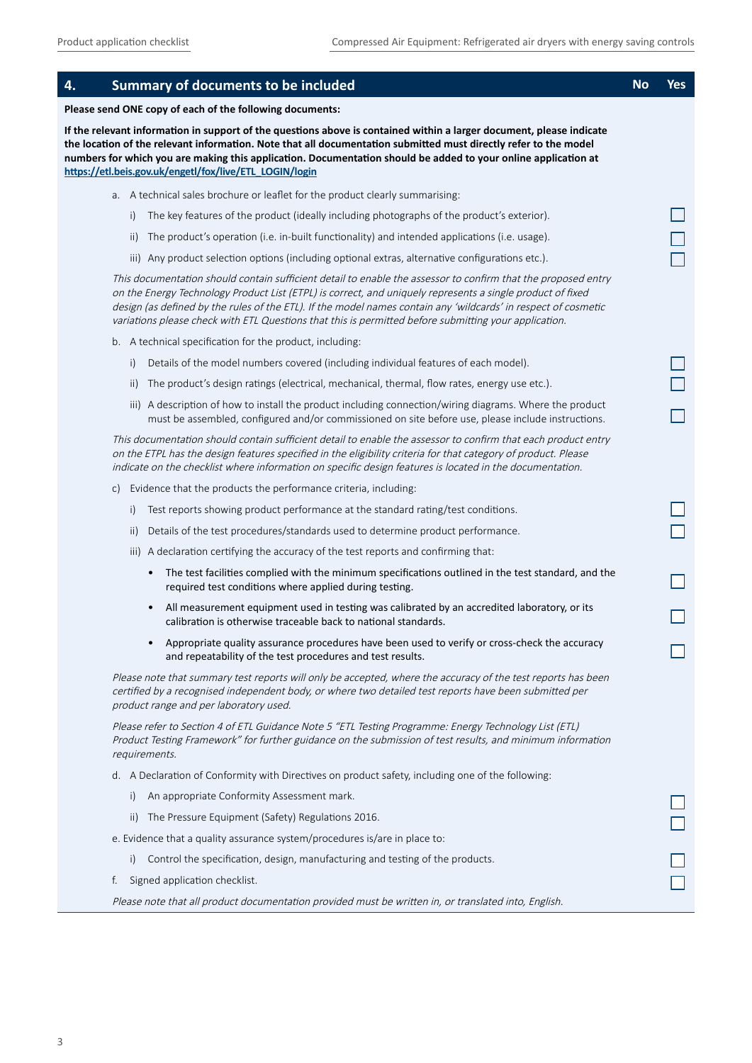| 4. |     | <b>Summary of documents to be included</b>                                                                                                                                                                                                                                                                                                                                                                                                             | <b>No</b> | Yes |
|----|-----|--------------------------------------------------------------------------------------------------------------------------------------------------------------------------------------------------------------------------------------------------------------------------------------------------------------------------------------------------------------------------------------------------------------------------------------------------------|-----------|-----|
|    |     | Please send ONE copy of each of the following documents:                                                                                                                                                                                                                                                                                                                                                                                               |           |     |
|    |     | If the relevant information in support of the questions above is contained within a larger document, please indicate<br>the location of the relevant information. Note that all documentation submitted must directly refer to the model<br>numbers for which you are making this application. Documentation should be added to your online application at<br>https://etl.beis.gov.uk/engetl/fox/live/ETL_LOGIN/login                                  |           |     |
|    |     | a. A technical sales brochure or leaflet for the product clearly summarising:                                                                                                                                                                                                                                                                                                                                                                          |           |     |
|    | i)  | The key features of the product (ideally including photographs of the product's exterior).                                                                                                                                                                                                                                                                                                                                                             |           |     |
|    | ii) | The product's operation (i.e. in-built functionality) and intended applications (i.e. usage).                                                                                                                                                                                                                                                                                                                                                          |           |     |
|    |     | iii) Any product selection options (including optional extras, alternative configurations etc.).                                                                                                                                                                                                                                                                                                                                                       |           |     |
|    |     | This documentation should contain sufficient detail to enable the assessor to confirm that the proposed entry<br>on the Energy Technology Product List (ETPL) is correct, and uniquely represents a single product of fixed<br>design (as defined by the rules of the ETL). If the model names contain any 'wildcards' in respect of cosmetic<br>variations please check with ETL Questions that this is permitted before submitting your application. |           |     |
|    |     | b. A technical specification for the product, including:                                                                                                                                                                                                                                                                                                                                                                                               |           |     |
|    | i)  | Details of the model numbers covered (including individual features of each model).                                                                                                                                                                                                                                                                                                                                                                    |           |     |
|    | ii) | The product's design ratings (electrical, mechanical, thermal, flow rates, energy use etc.).                                                                                                                                                                                                                                                                                                                                                           |           |     |
|    |     | iii) A description of how to install the product including connection/wiring diagrams. Where the product<br>must be assembled, configured and/or commissioned on site before use, please include instructions.                                                                                                                                                                                                                                         |           |     |
|    |     | This documentation should contain sufficient detail to enable the assessor to confirm that each product entry<br>on the ETPL has the design features specified in the eligibility criteria for that category of product. Please<br>indicate on the checklist where information on specific design features is located in the documentation.                                                                                                            |           |     |
|    | C)  | Evidence that the products the performance criteria, including:                                                                                                                                                                                                                                                                                                                                                                                        |           |     |
|    | i)  | Test reports showing product performance at the standard rating/test conditions.                                                                                                                                                                                                                                                                                                                                                                       |           |     |
|    | ii) | Details of the test procedures/standards used to determine product performance.                                                                                                                                                                                                                                                                                                                                                                        |           |     |
|    |     | iii) A declaration certifying the accuracy of the test reports and confirming that:                                                                                                                                                                                                                                                                                                                                                                    |           |     |
|    |     | • The test facilities complied with the minimum specifications outlined in the test standard, and the<br>required test conditions where applied during testing.                                                                                                                                                                                                                                                                                        |           |     |
|    |     | All measurement equipment used in testing was calibrated by an accredited laboratory, or its<br>$\bullet$<br>calibration is otherwise traceable back to national standards.                                                                                                                                                                                                                                                                            |           |     |
|    |     | Appropriate quality assurance procedures have been used to verify or cross-check the accuracy<br>and repeatability of the test procedures and test results.                                                                                                                                                                                                                                                                                            |           |     |
|    |     | Please note that summary test reports will only be accepted, where the accuracy of the test reports has been<br>certified by a recognised independent body, or where two detailed test reports have been submitted per<br>product range and per laboratory used.                                                                                                                                                                                       |           |     |
|    |     | Please refer to Section 4 of ETL Guidance Note 5 "ETL Testing Programme: Energy Technology List (ETL)<br>Product Testing Framework" for further guidance on the submission of test results, and minimum information<br>requirements.                                                                                                                                                                                                                   |           |     |
|    |     | d. A Declaration of Conformity with Directives on product safety, including one of the following:                                                                                                                                                                                                                                                                                                                                                      |           |     |
|    | i)  | An appropriate Conformity Assessment mark.                                                                                                                                                                                                                                                                                                                                                                                                             |           |     |
|    | ii) | The Pressure Equipment (Safety) Regulations 2016.                                                                                                                                                                                                                                                                                                                                                                                                      |           |     |
|    |     | e. Evidence that a quality assurance system/procedures is/are in place to:                                                                                                                                                                                                                                                                                                                                                                             |           |     |
|    | i)  | Control the specification, design, manufacturing and testing of the products.                                                                                                                                                                                                                                                                                                                                                                          |           |     |
|    | f.  | Signed application checklist.                                                                                                                                                                                                                                                                                                                                                                                                                          |           |     |
|    |     | Please note that all product documentation provided must be written in, or translated into, English.                                                                                                                                                                                                                                                                                                                                                   |           |     |